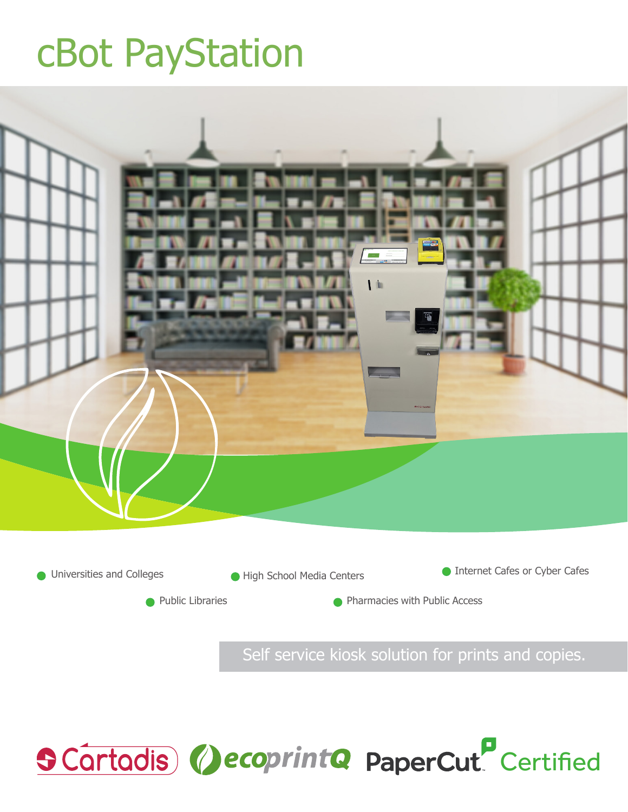# cBot PayStation